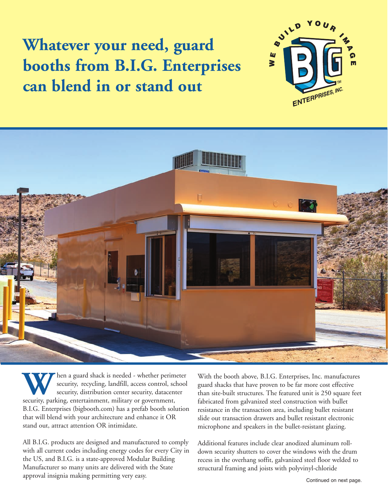**Whatever your need, guard booths from B.I.G. Enterprises can blend in or stand out**





W hen a guard shack is needed - whether perimeter security, recycling, landfill, access control, schoosecurity, distribution center security, datacenter security, parking, entertainment, military or government, security, recycling, landfill, access control, school security, distribution center security, datacenter B.I.G. Enterprises (bigbooth.com) has a prefab booth solution that will blend with your architecture and enhance it OR stand out, attract attention OR intimidate.

All B.I.G. products are designed and manufactured to comply with all current codes including energy codes for every City in the US, and B.I.G. is a state-approved Modular Building Manufacturer so many units are delivered with the State approval insignia making permitting very easy.

With the booth above, B.I.G. Enterprises, Inc. manufactures guard shacks that have proven to be far more cost effective than site-built structures. The featured unit is 250 square feet fabricated from galvanized steel construction with bullet resistance in the transaction area, including bullet resistant slide out transaction drawers and bullet resistant electronic microphone and speakers in the bullet-resistant glazing.

Additional features include clear anodized aluminum rolldown security shutters to cover the windows with the drum recess in the overhang soffit, galvanized steel floor welded to structural framing and joists with polyvinyl-chloride